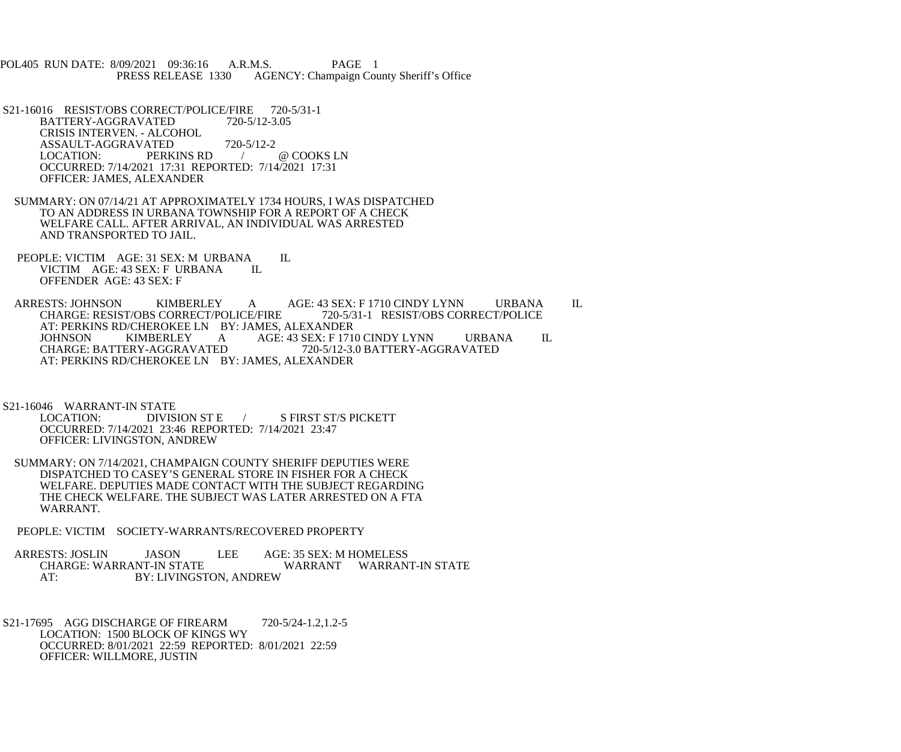POL405 RUN DATE: 8/09/2021 09:36:16 A.R.M.S. PAGE 1<br>PRESS RELEASE 1330 AGENCY: Champaign Cou AGENCY: Champaign County Sheriff's Office

S21-16016 RESIST/OBS CORRECT/POLICE/FIRE 720-5/31-1<br>BATTERY-AGGRAVATED 720-5/12-3.05 BATTERY-AGGRAVATED CRISIS INTERVEN. - ALCOHOL ASSAULT-AGGRAVATED 720-5/12-2<br>LOCATION: PERKINS RD PERKINS RD / @ COOKS LN OCCURRED: 7/14/2021 17:31 REPORTED: 7/14/2021 17:31 OFFICER: JAMES, ALEXANDER

- SUMMARY: ON 07/14/21 AT APPROXIMATELY 1734 HOURS, I WAS DISPATCHED TO AN ADDRESS IN URBANA TOWNSHIP FOR A REPORT OF A CHECK WELFARE CALL. AFTER ARRIVAL, AN INDIVIDUAL WAS ARRESTED AND TRANSPORTED TO JAIL.
- PEOPLE: VICTIM AGE: 31 SEX: M URBANA IL<br>VICTIM AGE: 43 SEX: F URBANA IL VICTIM AGE: 43 SEX: F URBANA OFFENDER AGE: 43 SEX: F

ARRESTS: JOHNSON KIMBERLEY A AGE: 43 SEX: F 1710 CINDY LYNN URBANA IL<br>CHARGE: RESIST/OBS CORRECT/POLICE/FIRE 720-5/31-1 RESIST/OBS CORRECT/POLICE CHARGE: RESIST/OBS CORRECT/POLICE/FIRE AT: PERKINS RD/CHEROKEE LN BY: JAMES, ALEXANDER<br>JOHNSON KIMBERLEY A AGE: 43 SEX: F 171 JOHNSON KIMBERLEY A AGE: 43 SEX: F 1710 CINDY LYNN URBANA IL CHARGE: BATTERY-AGGRAVATED 720-5/12-3.0 BATTERY-AGGRAVATED CHARGE: BATTERY-AGGRAVATED 720-5/12-3.0 BATTERY-AGGRAVATED AT: PERKINS RD/CHEROKEE LN BY: JAMES, ALEXANDER

S21-16046 WARRANT-IN STATE<br>LOCATION: DIVISION ST E S FIRST ST/S PICKETT OCCURRED: 7/14/2021 23:46 REPORTED: 7/14/2021 23:47 OFFICER: LIVINGSTON, ANDREW

- SUMMARY: ON 7/14/2021, CHAMPAIGN COUNTY SHERIFF DEPUTIES WERE DISPATCHED TO CASEY'S GENERAL STORE IN FISHER FOR A CHECK WELFARE. DEPUTIES MADE CONTACT WITH THE SUBJECT REGARDING THE CHECK WELFARE. THE SUBJECT WAS LATER ARRESTED ON A FTA WARRANT.
- PEOPLE: VICTIM SOCIETY-WARRANTS/RECOVERED PROPERTY

ARRESTS: JOSLIN JASON LEE AGE: 35 SEX: M HOMELESS<br>CHARGE: WARRANT-IN STATE WARRANT WARRAN CHARGE: WARRANT-IN STATE WARRANT WARRANT-IN STATE<br>AT: BY: LIVINGSTON. ANDREW BY: LIVINGSTON, ANDREW

 S21-17695 AGG DISCHARGE OF FIREARM 720-5/24-1.2,1.2-5 LOCATION: 1500 BLOCK OF KINGS WY OCCURRED: 8/01/2021 22:59 REPORTED: 8/01/2021 22:59 OFFICER: WILLMORE, JUSTIN